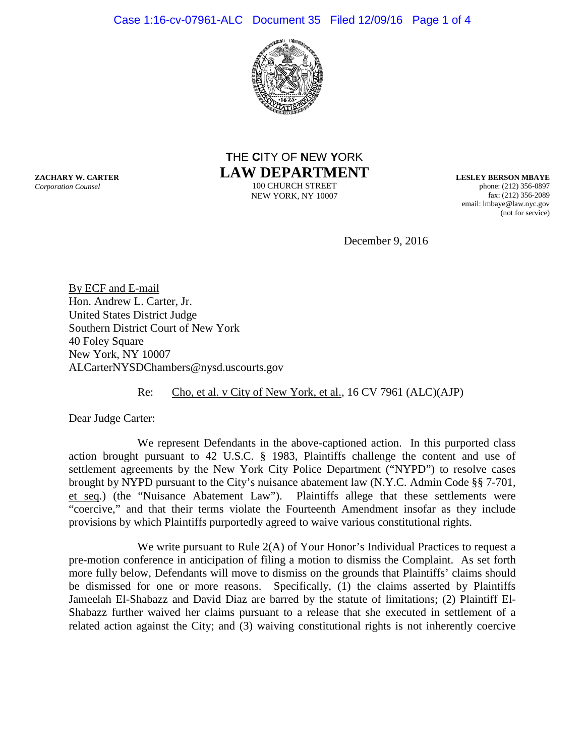### Case 1:16-cv-07961-ALC Document 35 Filed 12/09/16 Page 1 of 4



# **T**HE **C**ITY OF **N**EW **Y**ORK **LAW DEPARTMENT**

100 CHURCH STREET NEW YORK, NY 10007 **LESLEY BERSON MBAYE** phone: (212) 356-0897 fax: (212) 356-2089 email: lmbaye@law.nyc.gov (not for service)

December 9, 2016

By ECF and E-mail Hon. Andrew L. Carter, Jr. United States District Judge Southern District Court of New York 40 Foley Square New York, NY 10007 ALCarterNYSDChambers@nysd.uscourts.gov

### Re: Cho, et al. v City of New York, et al., 16 CV 7961 (ALC)(AJP)

Dear Judge Carter:

We represent Defendants in the above-captioned action. In this purported class action brought pursuant to 42 U.S.C. § 1983, Plaintiffs challenge the content and use of settlement agreements by the New York City Police Department ("NYPD") to resolve cases brought by NYPD pursuant to the City's nuisance abatement law (N.Y.C. Admin Code §§ 7-701, et seq*.*) (the "Nuisance Abatement Law"). Plaintiffs allege that these settlements were "coercive," and that their terms violate the Fourteenth Amendment insofar as they include provisions by which Plaintiffs purportedly agreed to waive various constitutional rights.

We write pursuant to Rule 2(A) of Your Honor's Individual Practices to request a pre-motion conference in anticipation of filing a motion to dismiss the Complaint. As set forth more fully below, Defendants will move to dismiss on the grounds that Plaintiffs' claims should be dismissed for one or more reasons. Specifically, (1) the claims asserted by Plaintiffs Jameelah El-Shabazz and David Diaz are barred by the statute of limitations; (2) Plaintiff El-Shabazz further waived her claims pursuant to a release that she executed in settlement of a related action against the City; and (3) waiving constitutional rights is not inherently coercive

**ZACHARY W. CARTER** *Corporation Counsel*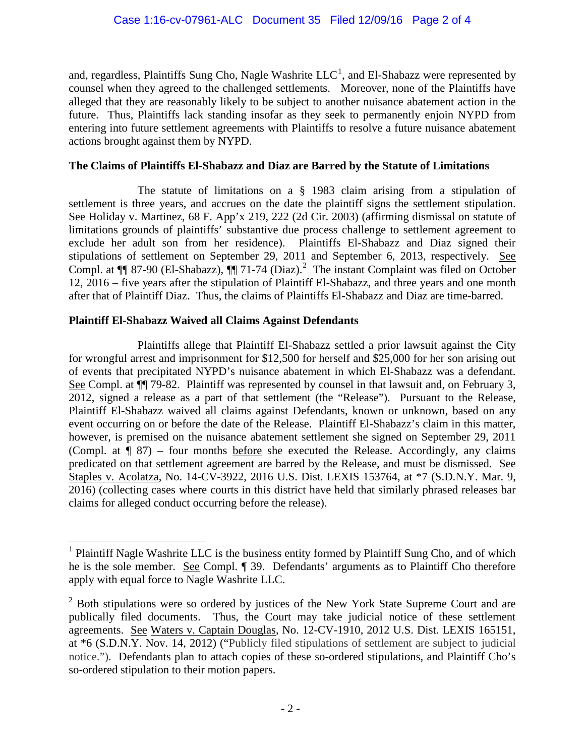and, regardless, Plaintiffs Sung Cho, Nagle Washrite  $LLC^1$  $LLC^1$ , and El-Shabazz were represented by counsel when they agreed to the challenged settlements. Moreover, none of the Plaintiffs have alleged that they are reasonably likely to be subject to another nuisance abatement action in the future. Thus, Plaintiffs lack standing insofar as they seek to permanently enjoin NYPD from entering into future settlement agreements with Plaintiffs to resolve a future nuisance abatement actions brought against them by NYPD.

## **The Claims of Plaintiffs El-Shabazz and Diaz are Barred by the Statute of Limitations**

The statute of limitations on a § 1983 claim arising from a stipulation of settlement is three years, and accrues on the date the plaintiff signs the settlement stipulation. See Holiday v. Martinez, 68 F. App'x 219, 222 (2d Cir. 2003) (affirming dismissal on statute of limitations grounds of plaintiffs' substantive due process challenge to settlement agreement to exclude her adult son from her residence). Plaintiffs El-Shabazz and Diaz signed their stipulations of settlement on September 29, 2011 and September 6, 2013, respectively. See Compl. at  $\P$  87-90 (El-Shabazz),  $\P$  71-74 (Diaz).<sup>[2](#page-1-1)</sup> The instant Complaint was filed on October 12, 2016 – five years after the stipulation of Plaintiff El-Shabazz, and three years and one month after that of Plaintiff Diaz. Thus, the claims of Plaintiffs El-Shabazz and Diaz are time-barred.

# **Plaintiff El-Shabazz Waived all Claims Against Defendants**

Plaintiffs allege that Plaintiff El-Shabazz settled a prior lawsuit against the City for wrongful arrest and imprisonment for \$12,500 for herself and \$25,000 for her son arising out of events that precipitated NYPD's nuisance abatement in which El-Shabazz was a defendant. See Compl. at ¶¶ 79-82. Plaintiff was represented by counsel in that lawsuit and, on February 3, 2012, signed a release as a part of that settlement (the "Release"). Pursuant to the Release, Plaintiff El-Shabazz waived all claims against Defendants, known or unknown, based on any event occurring on or before the date of the Release. Plaintiff El-Shabazz's claim in this matter, however, is premised on the nuisance abatement settlement she signed on September 29, 2011 (Compl. at  $\P$  87) – four months before she executed the Release. Accordingly, any claims predicated on that settlement agreement are barred by the Release, and must be dismissed. See Staples v. Acolatza, No. 14-CV-3922, 2016 U.S. Dist. LEXIS 153764, at \*7 (S.D.N.Y. Mar. 9, 2016) (collecting cases where courts in this district have held that similarly phrased releases bar claims for alleged conduct occurring before the release).

<span id="page-1-0"></span> $<sup>1</sup>$  Plaintiff Nagle Washrite LLC is the business entity formed by Plaintiff Sung Cho, and of which</sup> he is the sole member. See Compl. ¶ 39. Defendants' arguments as to Plaintiff Cho therefore apply with equal force to Nagle Washrite LLC.

<span id="page-1-1"></span> $2$  Both stipulations were so ordered by justices of the New York State Supreme Court and are publically filed documents. Thus, the Court may take judicial notice of these settlement agreements. See Waters v. Captain Douglas, No. 12-CV-1910, 2012 U.S. Dist. LEXIS 165151, at \*6 (S.D.N.Y. Nov. 14, 2012) ("Publicly filed stipulations of settlement are subject to judicial notice."). Defendants plan to attach copies of these so-ordered stipulations, and Plaintiff Cho's so-ordered stipulation to their motion papers.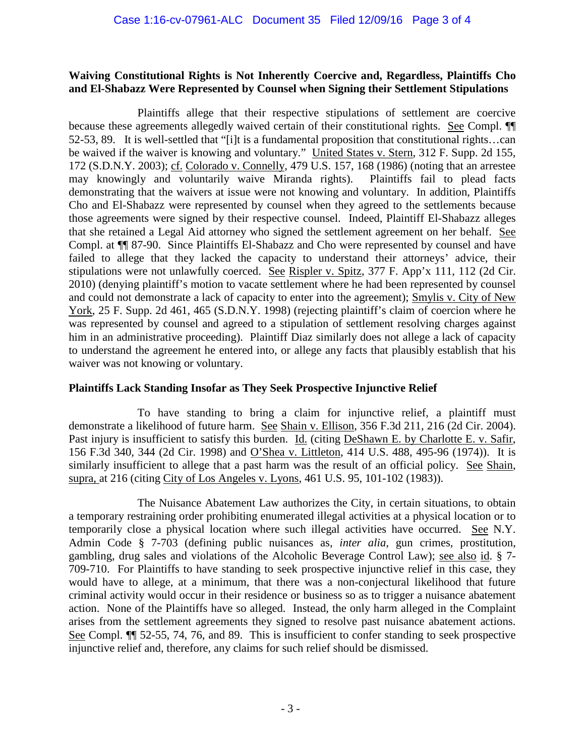### **Waiving Constitutional Rights is Not Inherently Coercive and, Regardless, Plaintiffs Cho and El-Shabazz Were Represented by Counsel when Signing their Settlement Stipulations**

Plaintiffs allege that their respective stipulations of settlement are coercive because these agreements allegedly waived certain of their constitutional rights. See Compl. ¶¶ 52-53, 89. It is well-settled that "[i]t is a fundamental proposition that constitutional rights…can be waived if the waiver is knowing and voluntary." United States v. Stern, 312 F. Supp. 2d 155, 172 (S.D.N.Y. 2003); cf. Colorado v. Connelly, 479 U.S. 157, 168 (1986) (noting that an arrestee may knowingly and voluntarily waive Miranda rights). Plaintiffs fail to plead facts demonstrating that the waivers at issue were not knowing and voluntary. In addition, Plaintiffs Cho and El-Shabazz were represented by counsel when they agreed to the settlements because those agreements were signed by their respective counsel. Indeed, Plaintiff El-Shabazz alleges that she retained a Legal Aid attorney who signed the settlement agreement on her behalf. See Compl. at ¶¶ 87-90. Since Plaintiffs El-Shabazz and Cho were represented by counsel and have failed to allege that they lacked the capacity to understand their attorneys' advice, their stipulations were not unlawfully coerced. See Rispler v. Spitz, 377 F. App'x 111, 112 (2d Cir. 2010) (denying plaintiff's motion to vacate settlement where he had been represented by counsel and could not demonstrate a lack of capacity to enter into the agreement); Smylis v. City of New York, 25 F. Supp. 2d 461, 465 (S.D.N.Y. 1998) (rejecting plaintiff's claim of coercion where he was represented by counsel and agreed to a stipulation of settlement resolving charges against him in an administrative proceeding). Plaintiff Diaz similarly does not allege a lack of capacity to understand the agreement he entered into, or allege any facts that plausibly establish that his waiver was not knowing or voluntary.

## **Plaintiffs Lack Standing Insofar as They Seek Prospective Injunctive Relief**

To have standing to bring a claim for injunctive relief, a plaintiff must demonstrate a likelihood of future harm. See Shain v. Ellison, 356 F.3d 211, 216 (2d Cir. 2004). Past injury is insufficient to satisfy this burden. Id. (citing DeShawn E. by Charlotte E. v. Safir, 156 F.3d 340, 344 (2d Cir. 1998) and O'Shea v. Littleton, 414 U.S. 488, 495-96 (1974)). It is similarly insufficient to allege that a past harm was the result of an official policy. See Shain, supra, at 216 (citing City of Los Angeles v. Lyons, 461 U.S. 95, 101-102 (1983)).

The Nuisance Abatement Law authorizes the City, in certain situations, to obtain a temporary restraining order prohibiting enumerated illegal activities at a physical location or to temporarily close a physical location where such illegal activities have occurred. See N.Y. Admin Code § 7-703 (defining public nuisances as, *inter alia,* gun crimes, prostitution, gambling, drug sales and violations of the Alcoholic Beverage Control Law); see also id. § 7- 709-710. For Plaintiffs to have standing to seek prospective injunctive relief in this case, they would have to allege, at a minimum, that there was a non-conjectural likelihood that future criminal activity would occur in their residence or business so as to trigger a nuisance abatement action. None of the Plaintiffs have so alleged. Instead, the only harm alleged in the Complaint arises from the settlement agreements they signed to resolve past nuisance abatement actions. See Compl. ¶¶ 52-55, 74, 76, and 89. This is insufficient to confer standing to seek prospective injunctive relief and, therefore, any claims for such relief should be dismissed.